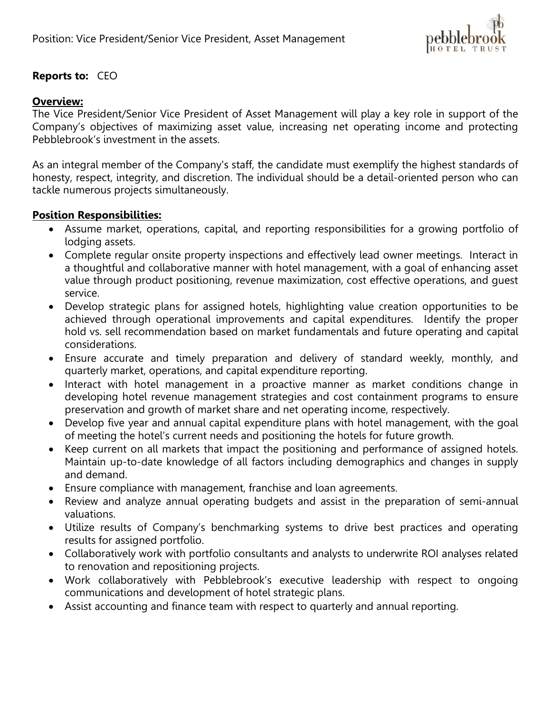

## **Reports to:** CEO

## **Overview:**

The Vice President/Senior Vice President of Asset Management will play a key role in support of the Company's objectives of maximizing asset value, increasing net operating income and protecting Pebblebrook's investment in the assets.

As an integral member of the Company's staff, the candidate must exemplify the highest standards of honesty, respect, integrity, and discretion. The individual should be a detail-oriented person who can tackle numerous projects simultaneously.

## **Position Responsibilities:**

- Assume market, operations, capital, and reporting responsibilities for a growing portfolio of lodging assets.
- Complete regular onsite property inspections and effectively lead owner meetings. Interact in a thoughtful and collaborative manner with hotel management, with a goal of enhancing asset value through product positioning, revenue maximization, cost effective operations, and guest service.
- Develop strategic plans for assigned hotels, highlighting value creation opportunities to be achieved through operational improvements and capital expenditures. Identify the proper hold vs. sell recommendation based on market fundamentals and future operating and capital considerations.
- Ensure accurate and timely preparation and delivery of standard weekly, monthly, and quarterly market, operations, and capital expenditure reporting.
- Interact with hotel management in a proactive manner as market conditions change in developing hotel revenue management strategies and cost containment programs to ensure preservation and growth of market share and net operating income, respectively.
- Develop five year and annual capital expenditure plans with hotel management, with the goal of meeting the hotel's current needs and positioning the hotels for future growth.
- Keep current on all markets that impact the positioning and performance of assigned hotels. Maintain up-to-date knowledge of all factors including demographics and changes in supply and demand.
- Ensure compliance with management, franchise and loan agreements.
- Review and analyze annual operating budgets and assist in the preparation of semi-annual valuations.
- Utilize results of Company's benchmarking systems to drive best practices and operating results for assigned portfolio.
- Collaboratively work with portfolio consultants and analysts to underwrite ROI analyses related to renovation and repositioning projects.
- Work collaboratively with Pebblebrook's executive leadership with respect to ongoing communications and development of hotel strategic plans.
- Assist accounting and finance team with respect to quarterly and annual reporting.